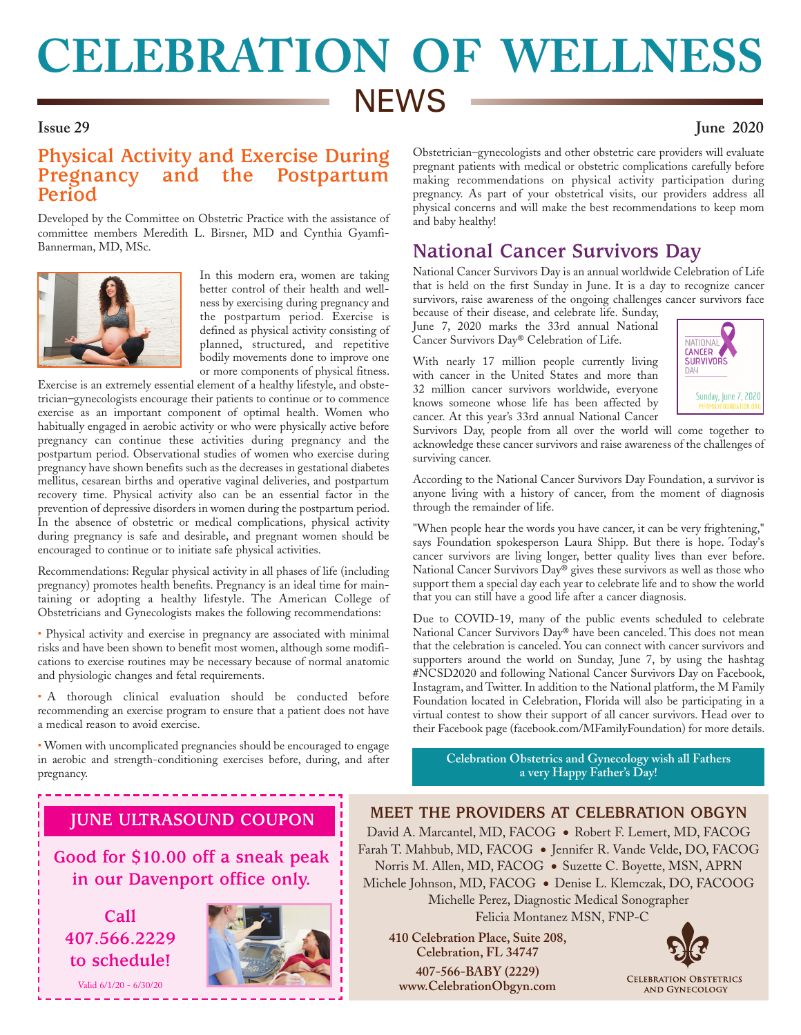# **CELEBRATION OF WELLNESS NEWS Issue 29 June 2020**

## **Physical Activity and Exercise During Pregnancy and the Postpartum Period**

Developed by the Committee on Obstetric Practice with the assistance of committee members Meredith L. Birsner, MD and Cynthia Gyamfi-Bannerman, MD, MSc.



In this modern era, women are taking better control of their health and wellness by exercising during pregnancy and the postpartum period. Exercise is defined as physical activity consisting of planned, structured, and repetitive bodily movements done to improve one or more components of physical fitness.

Exercise is an extremely essential element of a healthy lifestyle, and obstetrician–gynecologists encourage their patients to continue or to commence exercise as an important component of optimal health. Women who habitually engaged in aerobic activity or who were physically active before pregnancy can continue these activities during pregnancy and the postpartum period. Observational studies of women who exercise during pregnancy have shown benefits such as the decreases in gestational diabetes mellitus, cesarean births and operative vaginal deliveries, and postpartum recovery time. Physical activity also can be an essential factor in the prevention of depressive disorders in women during the postpartum period. In the absence of obstetric or medical complications, physical activity during pregnancy is safe and desirable, and pregnant women should be encouraged to continue or to initiate safe physical activities.

Recommendations: Regular physical activity in all phases of life (including pregnancy) promotes health benefits. Pregnancy is an ideal time for maintaining or adopting a healthy lifestyle. The American College of Obstetricians and Gynecologists makes the following recommendations:

• Physical activity and exercise in pregnancy are associated with minimal risks and have been shown to benefit most women, although some modifications to exercise routines may be necessary because of normal anatomic and physiologic changes and fetal requirements.

• A thorough clinical evaluation should be conducted before recommending an exercise program to ensure that a patient does not have a medical reason to avoid exercise.

• Women with uncomplicated pregnancies should be encouraged to engage in aerobic and strength-conditioning exercises before, during, and after pregnancy.

Obstetrician–gynecologists and other obstetric care providers will evaluate pregnant patients with medical or obstetric complications carefully before making recommendations on physical activity participation during pregnancy. As part of your obstetrical visits, our providers address all physical concerns and will make the best recommendations to keep mom and baby healthy!

# **National Cancer Survivors Day**

National Cancer Survivors Day is an annual worldwide Celebration of Life that is held on the first Sunday in June. It is a day to recognize cancer survivors, raise awareness of the ongoing challenges cancer survivors face

because of their disease, and celebrate life. Sunday, June 7, 2020 marks the 33rd annual National Cancer Survivors Day® Celebration of Life.

With nearly 17 million people currently living with cancer in the United States and more than 32 million cancer survivors worldwide, everyone knows someone whose life has been affected by cancer. At this year's 33rd annual National Cancer



Survivors Day, people from all over the world will come together to acknowledge these cancer survivors and raise awareness of the challenges of surviving cancer.

According to the National Cancer Survivors Day Foundation, a survivor is anyone living with a history of cancer, from the moment of diagnosis through the remainder of life.

"When people hear the words you have cancer, it can be very frightening," says Foundation spokesperson Laura Shipp. But there is hope. Today's cancer survivors are living longer, better quality lives than ever before. National Cancer Survivors Day® gives these survivors as well as those who support them a special day each year to celebrate life and to show the world that you can still have a good life after a cancer diagnosis.

Due to COVID-19, many of the public events scheduled to celebrate National Cancer Survivors Day® have been canceled. This does not mean that the celebration is canceled. You can connect with cancer survivors and supporters around the world on Sunday, June 7, by using the hashtag #NCSD2020 and following National Cancer Survivors Day on Facebook, Instagram, and Twitter.In addition to the National platform, the M Family Foundation located in Celebration, Florida will also be participating in a virtual contest to show their support of all cancer survivors. Head over to their Facebook page (facebook.com/MFamilyFoundation) for more details.

**Celebration Obstetrics and Gynecology wish all Fathers a very Happy Father's Day!**

# **JUNE ULTRASOUND COUPON**

**Good for \$10.00 off a sneak peak in our Davenport office only.**

**Call 407.566.2229 to schedule!**

Valid 6/1/20 - 6/30/20



**MEET THE PROVIDERS AT CELEBRATION OBGYN** David A. Marcantel, MD, FACOG ● Robert F. Lemert, MD, FACOG Farah T. Mahbub, MD, FACOG ● Jennifer R. Vande Velde, DO, FACOG Norris M. Allen, MD, FACOG ● Suzette C. Boyette, MSN, APRN Michele Johnson, MD, FACOG ● Denise L. Klemczak, DO, FACOOG Michelle Perez, Diagnostic Medical Sonographer Felicia Montanez MSN, FNP-C

**410 Celebration Place, Suite 208, Celebration, FL 34747 407-566-BABY (2229) www.CelebrationObgyn.com**



**CELEBRATION OBSTETRICS** AND GYNECOLOGY